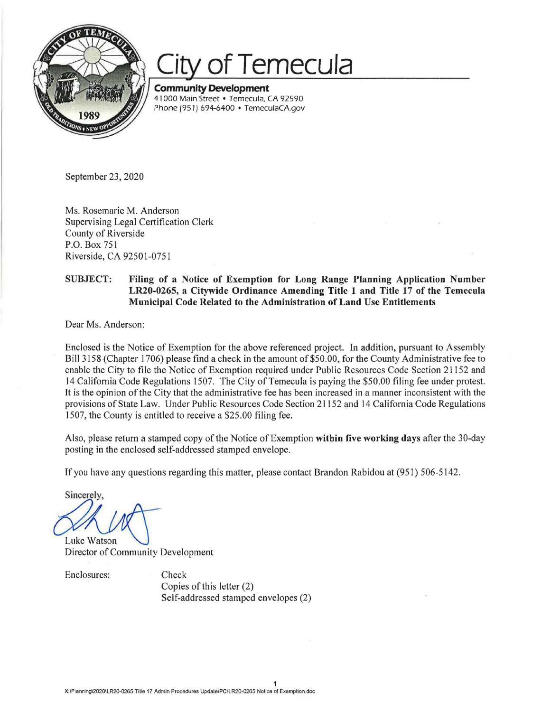

## **of Temecula**

**Community Development**  41000 Main Street • Temecula, CA 92590 Phone (951) 694-6400 • TemeculaCA.gov

September 23, 2020

Ms. Rosemarie M. Anderson Supervising Legal Certification Clerk County of Riverside P.O. Box 751 Riverside, CA 92501-0751

## **SUBJECT: Filing of a Notice of Exemption for Long Range Planning Application Number LR20-0265, a Citywide Ordinance Amending Title 1 and Title 17 of the Temecula Municipal Code Related to the Administration of Land Use Entitlements**

Dear Ms. Anderson:

Enclosed is the Notice of Exemption for the above referenced project. In addition, pursuant to Assembly Bill 3158 (Chapter 1706) please find a check in the amount of \$50.00, for the County Administrative fee to enable the City to file the Notice of Exemption required under Public Resources Code Section 21152 and 14 California Code Regulations 1507. The City of Temecula is paying the \$50.00 filing fee under protest. It is the opinion of the City that the administrative fee has been increased in a manner inconsistent with the provisions of State Law. Under Public Resources Code Section 21152 and 14 California Code Regulations 1507, the County is entitled to receive a \$25 .00 filing fee.

Also, please return a stamped copy of the Notice of Exemption **within five working days** after the 30-day posting in the enclosed self-addressed stamped envelope.

If you have any questions regarding this matter, please contact Brandon Rabidou at (951) 506-5142.

Sincerely,

Luke Watson Director of Community Development

Enclosures: Check

Copies of this letter (2) Self-addressed stamped envelopes (2)